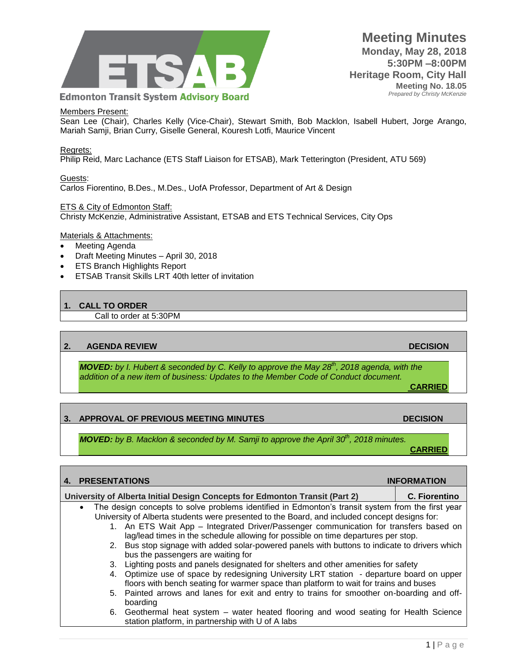

#### Members Present:

Sean Lee (Chair), Charles Kelly (Vice-Chair), Stewart Smith, Bob Macklon, Isabell Hubert, Jorge Arango, Mariah Samji, Brian Curry, Giselle General, Kouresh Lotfi, Maurice Vincent

#### Regrets:

Philip Reid, Marc Lachance (ETS Staff Liaison for ETSAB), Mark Tetterington (President, ATU 569)

Guests: Carlos Fiorentino, B.Des., M.Des., UofA Professor, Department of Art & Design

#### ETS & City of Edmonton Staff:

Christy McKenzie, Administrative Assistant, ETSAB and ETS Technical Services, City Ops

#### Materials & Attachments:

- Meeting Agenda
- Draft Meeting Minutes April 30, 2018
- ETS Branch Highlights Report
- ETSAB Transit Skills LRT 40th letter of invitation

#### **1. CALL TO ORDER**

Call to order at 5:30PM

#### **2. AGENDA REVIEW DECISION**

*MOVED: by I. Hubert & seconded by C. Kelly to approve the May 28th, 2018 agenda, with the addition of a new item of business: Updates to the Member Code of Conduct document.*

**CARRIED**

#### **3. APPROVAL OF PREVIOUS MEETING MINUTES DECISION**

*MOVED: by B. Macklon & seconded by M. Samji to approve the April 30th, 2018 minutes.* **CARRIED**

|                                                                             |                      | 4. PRESENTATIONS                                                                              |                                                                                                   | <b>INFORMATION</b> |  |
|-----------------------------------------------------------------------------|----------------------|-----------------------------------------------------------------------------------------------|---------------------------------------------------------------------------------------------------|--------------------|--|
| University of Alberta Initial Design Concepts for Edmonton Transit (Part 2) | <b>C. Fiorentino</b> |                                                                                               |                                                                                                   |                    |  |
|                                                                             | $\bullet$            |                                                                                               | The design concepts to solve problems identified in Edmonton's transit system from the first year |                    |  |
|                                                                             |                      | University of Alberta students were presented to the Board, and included concept designs for: |                                                                                                   |                    |  |
|                                                                             |                      |                                                                                               | 1. An ETS Wait App – Integrated Driver/Passenger communication for transfers based on             |                    |  |
|                                                                             |                      |                                                                                               | lag/lead times in the schedule allowing for possible on time departures per stop.                 |                    |  |
|                                                                             |                      |                                                                                               | 2. Bus stop signage with added solar-powered panels with buttons to indicate to drivers which     |                    |  |
|                                                                             |                      |                                                                                               | bus the passengers are waiting for                                                                |                    |  |
|                                                                             |                      |                                                                                               | 3. Lighting posts and panels designated for shelters and other amenities for safety               |                    |  |
|                                                                             |                      |                                                                                               | 4. Optimize use of space by redesigning University LRT station - departure board on upper         |                    |  |
|                                                                             |                      |                                                                                               | floors with bench seating for warmer space than platform to wait for trains and buses             |                    |  |
|                                                                             |                      |                                                                                               | 5. Painted arrows and lanes for exit and entry to trains for smoother on-boarding and off-        |                    |  |
|                                                                             |                      |                                                                                               | boarding                                                                                          |                    |  |
|                                                                             |                      |                                                                                               | 6. Geothermal heat system – water heated flooring and wood seating for Health Science             |                    |  |
|                                                                             |                      |                                                                                               | station platform, in partnership with U of A labs                                                 |                    |  |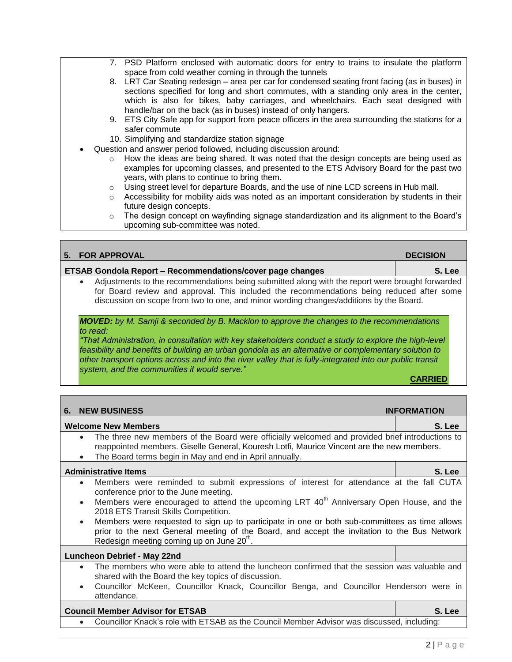- 7. PSD Platform enclosed with automatic doors for entry to trains to insulate the platform space from cold weather coming in through the tunnels
- 8. LRT Car Seating redesign area per car for condensed seating front facing (as in buses) in sections specified for long and short commutes, with a standing only area in the center, which is also for bikes, baby carriages, and wheelchairs. Each seat designed with handle/bar on the back (as in buses) instead of only hangers.
- 9. ETS City Safe app for support from peace officers in the area surrounding the stations for a safer commute
- 10. Simplifying and standardize station signage
- Question and answer period followed, including discussion around:
	- $\circ$  How the ideas are being shared. It was noted that the design concepts are being used as examples for upcoming classes, and presented to the ETS Advisory Board for the past two years, with plans to continue to bring them.
	- $\circ$  Using street level for departure Boards, and the use of nine LCD screens in Hub mall.
	- $\circ$  Accessibility for mobility aids was noted as an important consideration by students in their future design concepts.
	- o The design concept on wayfinding signage standardization and its alignment to the Board's upcoming sub-committee was noted.

| 5. | <b>FOR APPROVAL</b>                                                                                                                                                                                                                                                                                                                                                                                                                                                                       | <b>DECISION</b>    |  |  |  |
|----|-------------------------------------------------------------------------------------------------------------------------------------------------------------------------------------------------------------------------------------------------------------------------------------------------------------------------------------------------------------------------------------------------------------------------------------------------------------------------------------------|--------------------|--|--|--|
|    | <b>ETSAB Gondola Report - Recommendations/cover page changes</b>                                                                                                                                                                                                                                                                                                                                                                                                                          | S. Lee             |  |  |  |
|    | Adjustments to the recommendations being submitted along with the report were brought forwarded<br>$\bullet$<br>for Board review and approval. This included the recommendations being reduced after some<br>discussion on scope from two to one, and minor wording changes/additions by the Board.                                                                                                                                                                                       |                    |  |  |  |
|    | <b>MOVED:</b> by M. Samji & seconded by B. Macklon to approve the changes to the recommendations<br>to read:<br>That Administration, in consultation with key stakeholders conduct a study to explore the high-level<br>feasibility and benefits of building an urban gondola as an alternative or complementary solution to<br>other transport options across and into the river valley that is fully-integrated into our public transit<br>system, and the communities it would serve." | <b>CARRIED</b>     |  |  |  |
|    |                                                                                                                                                                                                                                                                                                                                                                                                                                                                                           |                    |  |  |  |
| 6. | <b>NEW BUSINESS</b>                                                                                                                                                                                                                                                                                                                                                                                                                                                                       | <b>INFORMATION</b> |  |  |  |
|    | <b>Welcome New Members</b>                                                                                                                                                                                                                                                                                                                                                                                                                                                                | S. Lee             |  |  |  |
|    | The three new members of the Board were officially welcomed and provided brief introductions to<br>$\bullet$<br>reappointed members. Giselle General, Kouresh Lotfi, Maurice Vincent are the new members.<br>The Board terms begin in May and end in April annually.                                                                                                                                                                                                                      |                    |  |  |  |
|    | <b>Administrative Items</b>                                                                                                                                                                                                                                                                                                                                                                                                                                                               | S. Lee             |  |  |  |
|    | Members were reminded to submit expressions of interest for attendance at the fall CUTA<br>$\bullet$<br>conference prior to the June meeting.<br>Members were encouraged to attend the upcoming LRT 40 <sup>th</sup> Anniversary Open House, and the<br>$\bullet$<br>2018 ETS Transit Skills Competition.                                                                                                                                                                                 |                    |  |  |  |
|    | Members were requested to sign up to participate in one or both sub-committees as time allows<br>$\bullet$<br>prior to the next General meeting of the Board, and accept the invitation to the Bus Network<br>Redesign meeting coming up on June 20 <sup>th</sup> .                                                                                                                                                                                                                       |                    |  |  |  |
|    |                                                                                                                                                                                                                                                                                                                                                                                                                                                                                           |                    |  |  |  |

#### **Luncheon Debrief - May 22nd**

- The members who were able to attend the luncheon confirmed that the session was valuable and shared with the Board the key topics of discussion.
- Councillor McKeen, Councillor Knack, Councillor Benga, and Councillor Henderson were in attendance.

## **Council Member Advisor for ETSAB S. Lee**

Councillor Knack's role with ETSAB as the Council Member Advisor was discussed, including: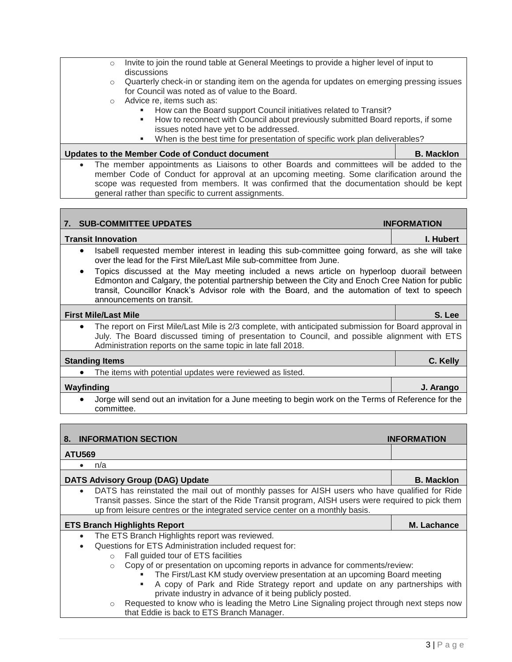- o Quarterly check-in or standing item on the agenda for updates on emerging pressing issues for Council was noted as of value to the Board.
- o Advice re, items such as:
	- How can the Board support Council initiatives related to Transit?
	- **How to reconnect with Council about previously submitted Board reports, if some** issues noted have yet to be addressed.
	- When is the best time for presentation of specific work plan deliverables?

Updates to the Member Code of Conduct document **B. B. Macklon**  The member appointments as Liaisons to other Boards and committees will be added to the member Code of Conduct for approval at an upcoming meeting. Some clarification around the scope was requested from members. It was confirmed that the documentation should be kept general rather than specific to current assignments.

| <b>SUB-COMMITTEE UPDATES</b><br>7.                                                                                                                                                                                                                                                                                                       | <b>INFORMATION</b> |
|------------------------------------------------------------------------------------------------------------------------------------------------------------------------------------------------------------------------------------------------------------------------------------------------------------------------------------------|--------------------|
| <b>Transit Innovation</b>                                                                                                                                                                                                                                                                                                                | I. Hubert          |
| Isabell requested member interest in leading this sub-committee going forward, as she will take<br>$\bullet$<br>over the lead for the First Mile/Last Mile sub-committee from June.                                                                                                                                                      |                    |
| Topics discussed at the May meeting included a news article on hyperloop duorail between<br>$\bullet$<br>Edmonton and Calgary, the potential partnership between the City and Enoch Cree Nation for public<br>transit, Councillor Knack's Advisor role with the Board, and the automation of text to speech<br>announcements on transit. |                    |
| <b>First Mile/Last Mile</b>                                                                                                                                                                                                                                                                                                              | S. Lee             |
| The report on First Mile/Last Mile is 2/3 complete, with anticipated submission for Board approval in<br>$\bullet$<br>July. The Board discussed timing of presentation to Council, and possible alignment with ETS<br>Administration reports on the same topic in late fall 2018.                                                        |                    |
| <b>Standing Items</b>                                                                                                                                                                                                                                                                                                                    | C. Kelly           |
| The items with potential updates were reviewed as listed.                                                                                                                                                                                                                                                                                |                    |
| Wayfinding                                                                                                                                                                                                                                                                                                                               | J. Arango          |
| Jorge will send out an invitation for a June meeting to begin work on the Terms of Reference for the<br>committee.                                                                                                                                                                                                                       |                    |
|                                                                                                                                                                                                                                                                                                                                          |                    |
| <b>INFORMATION SECTION</b><br>8.                                                                                                                                                                                                                                                                                                         | <b>INFORMATION</b> |
| ATIIBAA                                                                                                                                                                                                                                                                                                                                  |                    |

## **ATU569**

 $\bullet$  n/a

**DATS Advisory Group (DAG) Update B. Macklon** DATS has reinstated the mail out of monthly passes for AISH users who have qualified for Ride Transit passes. Since the start of the Ride Transit program, AISH users were required to pick them up from leisure centres or the integrated service center on a monthly basis.

#### **[ETS Branch Highlights Report](https://docs.google.com/a/edmonton.ca/spreadsheets/d/1_t6r4fH6hdfOQtXhpM0t8Y71Re9ot_Jr4I-aGrD1Z5I/edit?usp=sharing) M. Lachance**

- The ETS Branch Highlights report was reviewed.
- Questions for ETS Administration included request for:
	- o Fall guided tour of ETS facilities
		- o Copy of or presentation on upcoming reports in advance for comments/review:
			- The First/Last KM study overview presentation at an upcoming Board meeting<br>A copy of Park and Ride Strategy report and undate on any partnerships
				- A copy of Park and Ride Strategy report and update on any partnerships with private industry in advance of it being publicly posted.
		- o Requested to know who is leading the Metro Line Signaling project through next steps now that Eddie is back to ETS Branch Manager.